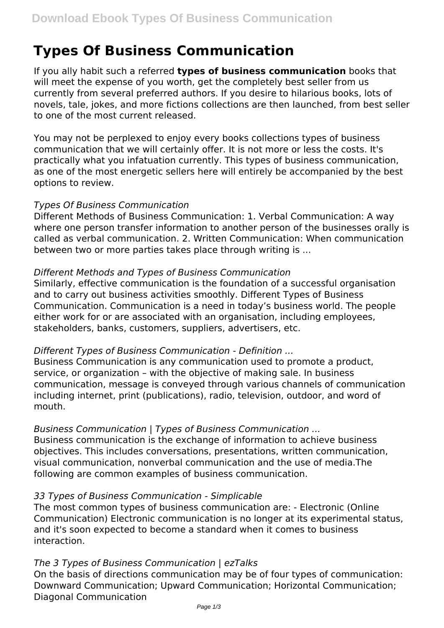# **Types Of Business Communication**

If you ally habit such a referred **types of business communication** books that will meet the expense of you worth, get the completely best seller from us currently from several preferred authors. If you desire to hilarious books, lots of novels, tale, jokes, and more fictions collections are then launched, from best seller to one of the most current released.

You may not be perplexed to enjoy every books collections types of business communication that we will certainly offer. It is not more or less the costs. It's practically what you infatuation currently. This types of business communication, as one of the most energetic sellers here will entirely be accompanied by the best options to review.

## *Types Of Business Communication*

Different Methods of Business Communication: 1. Verbal Communication: A way where one person transfer information to another person of the businesses orally is called as verbal communication. 2. Written Communication: When communication between two or more parties takes place through writing is ...

## *Different Methods and Types of Business Communication*

Similarly, effective communication is the foundation of a successful organisation and to carry out business activities smoothly. Different Types of Business Communication. Communication is a need in today's business world. The people either work for or are associated with an organisation, including employees, stakeholders, banks, customers, suppliers, advertisers, etc.

## *Different Types of Business Communication - Definition ...*

Business Communication is any communication used to promote a product, service, or organization – with the objective of making sale. In business communication, message is conveyed through various channels of communication including internet, print (publications), radio, television, outdoor, and word of mouth.

# *Business Communication | Types of Business Communication ...*

Business communication is the exchange of information to achieve business objectives. This includes conversations, presentations, written communication, visual communication, nonverbal communication and the use of media.The following are common examples of business communication.

# *33 Types of Business Communication - Simplicable*

The most common types of business communication are: - Electronic (Online Communication) Electronic communication is no longer at its experimental status, and it's soon expected to become a standard when it comes to business interaction.

# *The 3 Types of Business Communication | ezTalks*

On the basis of directions communication may be of four types of communication: Downward Communication; Upward Communication; Horizontal Communication; Diagonal Communication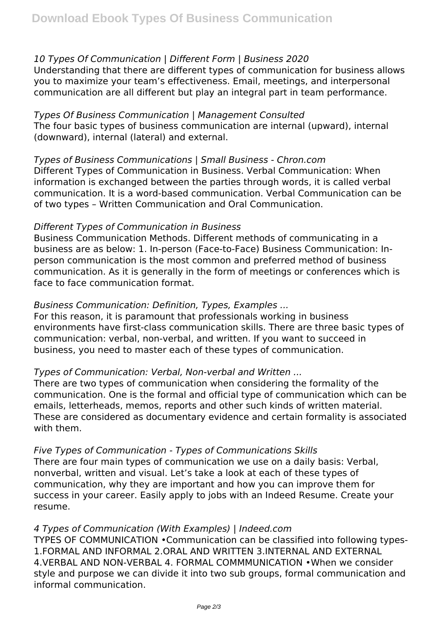# *10 Types Of Communication | Different Form | Business 2020*

Understanding that there are different types of communication for business allows you to maximize your team's effectiveness. Email, meetings, and interpersonal communication are all different but play an integral part in team performance.

## *Types Of Business Communication | Management Consulted* The four basic types of business communication are internal (upward), internal

(downward), internal (lateral) and external.

*Types of Business Communications | Small Business - Chron.com* Different Types of Communication in Business. Verbal Communication: When information is exchanged between the parties through words, it is called verbal communication. It is a word-based communication. Verbal Communication can be of two types – Written Communication and Oral Communication.

## *Different Types of Communication in Business*

Business Communication Methods. Different methods of communicating in a business are as below: 1. In-person (Face-to-Face) Business Communication: Inperson communication is the most common and preferred method of business communication. As it is generally in the form of meetings or conferences which is face to face communication format.

# *Business Communication: Definition, Types, Examples ...*

For this reason, it is paramount that professionals working in business environments have first-class communication skills. There are three basic types of communication: verbal, non-verbal, and written. If you want to succeed in business, you need to master each of these types of communication.

# *Types of Communication: Verbal, Non-verbal and Written ...*

There are two types of communication when considering the formality of the communication. One is the formal and official type of communication which can be emails, letterheads, memos, reports and other such kinds of written material. These are considered as documentary evidence and certain formality is associated with them.

## *Five Types of Communication - Types of Communications Skills*

There are four main types of communication we use on a daily basis: Verbal, nonverbal, written and visual. Let's take a look at each of these types of communication, why they are important and how you can improve them for success in your career. Easily apply to jobs with an Indeed Resume. Create your resume.

## *4 Types of Communication (With Examples) | Indeed.com*

TYPES OF COMMUNICATION •Communication can be classified into following types-1.FORMAL AND INFORMAL 2.ORAL AND WRITTEN 3.INTERNAL AND EXTERNAL 4.VERBAL AND NON-VERBAL 4. FORMAL COMMMUNICATION •When we consider style and purpose we can divide it into two sub groups, formal communication and informal communication.